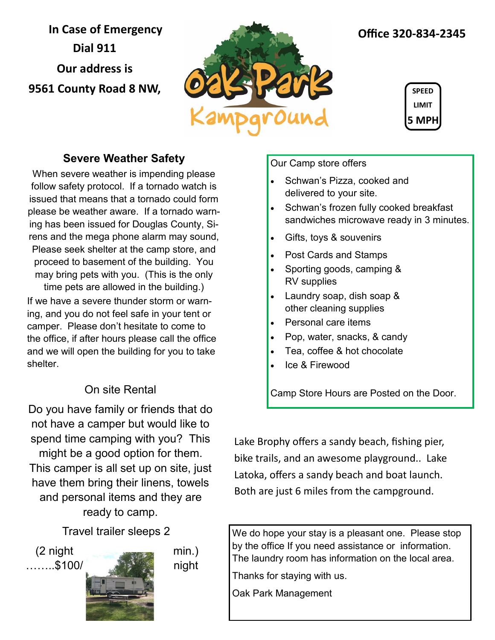**In Case of Emergency Dial 911 Our address is 9561 County Road 8 NW,** 



## **Office 320-834-2345**



### **Severe Weather Safety**

When severe weather is impending please follow safety protocol. If a tornado watch is issued that means that a tornado could form please be weather aware. If a tornado warning has been issued for Douglas County, Sirens and the mega phone alarm may sound, Please seek shelter at the camp store, and proceed to basement of the building. You may bring pets with you. (This is the only time pets are allowed in the building.) If we have a severe thunder storm or warning, and you do not feel safe in your tent or camper. Please don't hesitate to come to the office, if after hours please call the office and we will open the building for you to take

## On site Rental

Do you have family or friends that do not have a camper but would like to spend time camping with you? This might be a good option for them. This camper is all set up on site, just have them bring their linens, towels and personal items and they are ready to camp.

Travel trailer sleeps 2

shelter.



Our Camp store offers

- Schwan's Pizza, cooked and delivered to your site.
- Schwan's frozen fully cooked breakfast sandwiches microwave ready in 3 minutes.
- Gifts, toys & souvenirs
- Post Cards and Stamps
- Sporting goods, camping & RV supplies
- Laundry soap, dish soap & other cleaning supplies
- Personal care items
- Pop, water, snacks, & candy
- Tea, coffee & hot chocolate
- Ice & Firewood

Camp Store Hours are Posted on the Door.

Lake Brophy offers a sandy beach, fishing pier, bike trails, and an awesome playground.. Lake Latoka, offers a sandy beach and boat launch. Both are just 6 miles from the campground.

We do hope your stay is a pleasant one. Please stop by the office If you need assistance or information. The laundry room has information on the local area.

Thanks for staying with us.

Oak Park Management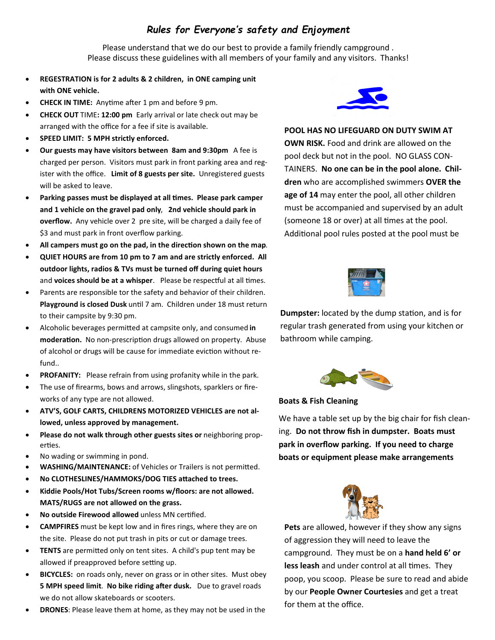### *Rules for Everyone's safety and Enjoyment*

Please understand that we do our best to provide a family friendly campground . Please discuss these guidelines with all members of your family and any visitors. Thanks!

- **REGESTRATION is for 2 adults & 2 children, in ONE camping unit with ONE vehicle.**
- **CHECK IN TIME:** Anytime after 1 pm and before 9 pm.
- **CHECK OUT** TIME**: 12:00 pm** Early arrival or late check out may be arranged with the office for a fee if site is available.
- **SPEED LIMIT: 5 MPH strictly enforced.**
- **Our guests may have visitors between 8am and 9:30pm** A fee is charged per person. Visitors must park in front parking area and register with the office. **Limit of 8 guests per site.** Unregistered guests will be asked to leave.
- **Parking passes must be displayed at all times. Please park camper and 1 vehicle on the gravel pad only**, **2nd vehicle should park in overflow.** Any vehicle over 2 pre site, will be charged a daily fee of \$3 and must park in front overflow parking.
- **All campers must go on the pad, in the direction shown on the map**.
- **QUIET HOURS are from 10 pm to 7 am and are strictly enforced. All outdoor lights, radios & TVs must be turned off during quiet hours** and **voices should be at a whisper**. Please be respectful at all times.
- Parents are responsible tor the safety and behavior of their children. **Playground is closed Dusk** until 7 am. Children under 18 must return to their campsite by 9:30 pm.
- Alcoholic beverages permitted at campsite only, and consumed **in moderation.** No non-prescription drugs allowed on property. Abuse of alcohol or drugs will be cause for immediate eviction without refund..
- **PROFANITY:** Please refrain from using profanity while in the park.
- The use of firearms, bows and arrows, slingshots, sparklers or fireworks of any type are not allowed.
- **ATV'S, GOLF CARTS, CHILDRENS MOTORIZED VEHICLES are not allowed, unless approved by management.**
- **Please do not walk through other guests sites or** neighboring properties.
- No wading or swimming in pond.
- **WASHING/MAINTENANCE:** of Vehicles or Trailers is not permitted.
- **No CLOTHESLINES/HAMMOKS/DOG TIES attached to trees.**
- **Kiddie Pools/Hot Tubs/Screen rooms w/floors: are not allowed. MATS/RUGS are not allowed on the grass.**
- **No outside Firewood allowed** unless MN certified.
- **CAMPFIRES** must be kept low and in fires rings, where they are on the site. Please do not put trash in pits or cut or damage trees.
- **TENTS** are permitted only on tent sites. A child's pup tent may be allowed if preapproved before setting up.
- **BICYCLES:** on roads only, never on grass or in other sites. Must obey **5 MPH speed limit**. **No bike riding after dusk.** Due to gravel roads we do not allow skateboards or scooters.
- **DRONES**: Please leave them at home, as they may not be used in the



**POOL HAS NO LIFEGUARD ON DUTY SWIM AT** 

**OWN RISK.** Food and drink are allowed on the pool deck but not in the pool. NO GLASS CON-TAINERS. **No one can be in the pool alone. Children** who are accomplished swimmers **OVER the age of 14** may enter the pool, all other children must be accompanied and supervised by an adult (someone 18 or over) at all times at the pool. Additional pool rules posted at the pool must be



**Dumpster:** located by the dump station, and is for regular trash generated from using your kitchen or bathroom while camping.



#### **Boats & Fish Cleaning**

We have a table set up by the big chair for fish cleaning. **Do not throw fish in dumpster. Boats must park in overflow parking. If you need to charge boats or equipment please make arrangements** 



**Pets** are allowed, however if they show any signs of aggression they will need to leave the campground. They must be on a **hand held 6' or less leash** and under control at all times. They poop, you scoop. Please be sure to read and abide by our **People Owner Courtesies** and get a treat for them at the office.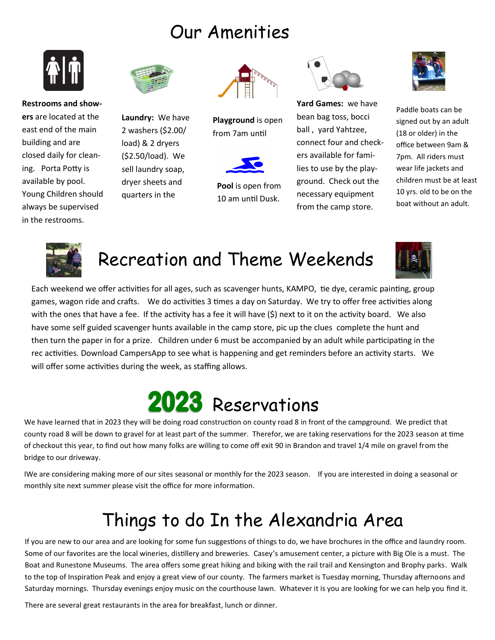## Our Amenities



**Restrooms and showers** are located at the east end of the main building and are closed daily for cleaning. Porta Potty is available by pool. Young Children should always be supervised in the restrooms.



**Laundry:** We have 2 washers (\$2.00/ load) & 2 dryers (\$2.50/load). We sell laundry soap, dryer sheets and quarters in the



**Playground** is open from 7am until



**Pool** is open from 10 am until Dusk.



**Yard Games:** we have bean bag toss, bocci ball , yard Yahtzee, connect four and checkers available for families to use by the playground. Check out the necessary equipment from the camp store.



Paddle boats can be signed out by an adult (18 or older) in the office between 9am & 7pm. All riders must wear life jackets and children must be at least 10 yrs. old to be on the boat without an adult.



## Recreation and Theme Weekends



Each weekend we offer activities for all ages, such as scavenger hunts, KAMPO, tie dye, ceramic painting, group games, wagon ride and crafts. We do activities 3 times a day on Saturday. We try to offer free activities along with the ones that have a fee. If the activity has a fee it will have (\$) next to it on the activity board. We also have some self guided scavenger hunts available in the camp store, pic up the clues complete the hunt and then turn the paper in for a prize. Children under 6 must be accompanied by an adult while participating in the rec activities. Download CampersApp to see what is happening and get reminders before an activity starts. We will offer some activities during the week, as staffing allows.



We have learned that in 2023 they will be doing road construction on county road 8 in front of the campground. We predict that county road 8 will be down to gravel for at least part of the summer. Therefor, we are taking reservations for the 2023 season at time of checkout this year, to find out how many folks are willing to come off exit 90 in Brandon and travel 1/4 mile on gravel from the bridge to our driveway.

IWe are considering making more of our sites seasonal or monthly for the 2023 season. If you are interested in doing a seasonal or monthly site next summer please visit the office for more information.

# Things to do In the Alexandria Area

If you are new to our area and are looking for some fun suggestions of things to do, we have brochures in the office and laundry room. Some of our favorites are the local wineries, distillery and breweries. Casey's amusement center, a picture with Big Ole is a must. The Boat and Runestone Museums. The area offers some great hiking and biking with the rail trail and Kensington and Brophy parks. Walk to the top of Inspiration Peak and enjoy a great view of our county. The farmers market is Tuesday morning, Thursday afternoons and Saturday mornings. Thursday evenings enjoy music on the courthouse lawn. Whatever it is you are looking for we can help you find it.

There are several great restaurants in the area for breakfast, lunch or dinner.